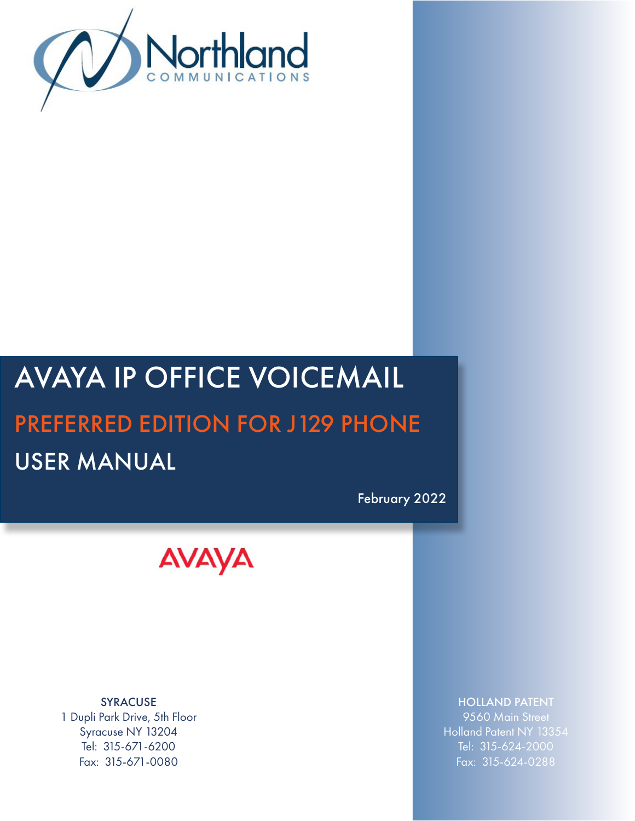

# AVAYA IP OFFICE VOICEMAIL PREFERRED EDITION FOR J129 PHONE USER MANUAL

February 2022



SYRACUSE 1 Dupli Park Drive, 5th Floor Syracuse NY 13204 Tel: 315-671-6200 Fax: 315-671-0080

HOLLAND PATENT

9560 Main Street Holland Patent NY 13354 Tel: 315-624-2000 Fax: 315-624-0288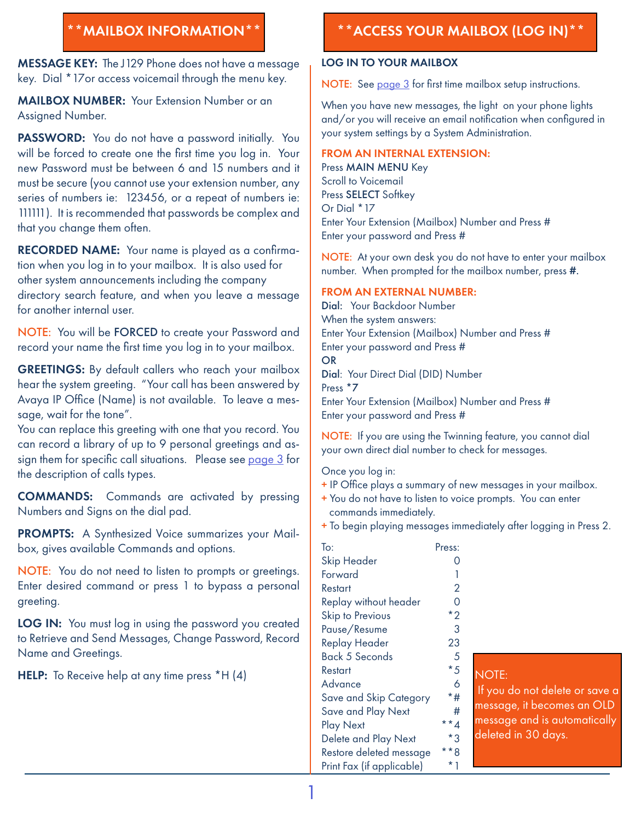<span id="page-1-0"></span>MESSAGE KEY: The J129 Phone does not have a message key. Dial \*17or access voicemail through the menu key.

**MAILBOX NUMBER:** Your Extension Number or an Assigned Number.

PASSWORD: You do not have a password initially. You will be forced to create one the first time you log in. Your new Password must be between 6 and 15 numbers and it must be secure (you cannot use your extension number, any series of numbers ie: 123456, or a repeat of numbers ie: 111111). It is recommended that passwords be complex and that you change them often.

RECORDED NAME: Your name is played as a confirmation when you log in to your mailbox. It is also used for other system announcements including the company directory search feature, and when you leave a message for another internal user.

NOTE: You will be FORCED to create your Password and record your name the first time you log in to your mailbox.

GREETINGS: By default callers who reach your mailbox hear the system greeting. "Your call has been answered by Avaya IP Office (Name) is not available. To leave a message, wait for the tone".

You can replace this greeting with one that you record. You can record a library of up to 9 personal greetings and assign them for specific call situations. Please see [page 3](#page-3-0) for the description of calls types.

COMMANDS: Commands are activated by pressing Numbers and Signs on the dial pad.

PROMPTS: A Synthesized Voice summarizes your Mailbox, gives available Commands and options.

NOTE: You do not need to listen to prompts or greetings. Enter desired command or press 1 to bypass a personal greeting.

LOG IN: You must log in using the password you created to Retrieve and Send Messages, Change Password, Record Name and Greetings.

HELP: To Receive help at any time press \*H (4)

# \*\*MAILBOX INFORMATION\*\* \*\*ACCESS YOUR MAILBOX (LOG IN)\*\*

#### LOG IN TO YOUR MAILBOX

NOTE: See [page 3](#page-3-0) for first time mailbox setup instructions.

When you have new messages, the light on your phone lights and/or you will receive an email notification when configured in your system settings by a System Administration.

#### FROM AN INTERNAL EXTENSION:

Press MAIN MENU Key Scroll to Voicemail Press SELECT Softkey Or Dial \*17 Enter Your Extension (Mailbox) Number and Press # Enter your password and Press #

NOTE: At your own desk you do not have to enter your mailbox number. When prompted for the mailbox number, press #.

#### FROM AN EXTERNAL NUMBER:

Dial: Your Backdoor Number When the system answers: Enter Your Extension (Mailbox) Number and Press # Enter your password and Press # OR Dial: Your Direct Dial (DID) Number Press \*7 Enter Your Extension (Mailbox) Number and Press # Enter your password and Press #

NOTE: If you are using the Twinning feature, you cannot dial your own direct dial number to check for messages.

Once you log in:

- + IP Office plays a summary of new messages in your mailbox.
- + You do not have to listen to voice prompts. You can enter commands immediately.
- + To begin playing messages immediately after logging in Press 2.

| To:                       | Press:         |
|---------------------------|----------------|
| Skip Header               | 0              |
| Forward                   | 1              |
| Restart                   | $\overline{2}$ |
| Replay without header     | 0              |
| <b>Skip to Previous</b>   | $*_{2}$        |
| Pause/Resume              | 3              |
| Replay Header             | 23             |
| Back 5 Seconds            | 5              |
| Restart                   | $*_{5}$        |
| Advance                   | 6              |
| Save and Skip Category    | *#             |
| Save and Play Next        | #              |
| <b>Play Next</b>          | **4            |
| Delete and Play Next      | $*3$           |
| Restore deleted message   | * * g          |
| Print Fax (if applicable) | * 1            |

## NOTE:

 If you do not delete or save a message, it becomes an OLD message and is automatically deleted in 30 days.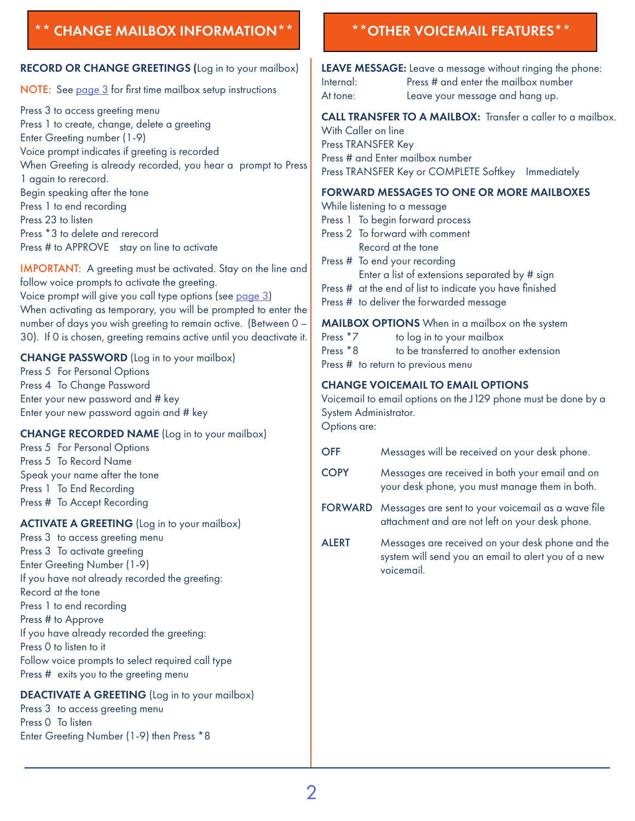# CHANGE MAILBOX INFORMATION \*\* **And X \*** \* \* OTHER VOICEMAIL FEATURES \* \*

#### RECORD OR CHANGE GREETINGS (Log in to your mailbox)

NOTE: See [page 3](#page-3-0) for first time mailbox setup instructions

Press 3 to access greeting menu Press 1 to create, change, delete a greeting Enter Greeting number (1-9) Voice prompt indicates if greeting is recorded When Greeting is already recorded, you hear a prompt to Press 1 again to rerecord. Begin speaking after the tone Press 1 to end recording Press 23 to listen Press \*3 to delete and rerecord Press # to APPROVE stay on line to activate

IMPORTANT: A greeting must be activated. Stay on the line and follow voice prompts to activate the greeting. Voice prompt will give you call type options (see [page 3](#page-3-0)) When activating as temporary, you will be prompted to enter the number of days you wish greeting to remain active. (Between 0 – 30). If 0 is chosen, greeting remains active until you deactivate it.

#### CHANGE PASSWORD (Log in to your mailbox)

Press 5 For Personal Options Press 4 To Change Password Enter your new password and # key Enter your new password again and # key

#### CHANGE RECORDED NAME (Log in to your mailbox)

Press 5 For Personal Options Press 5 To Record Name Speak your name after the tone Press 1 To End Recording Press # To Accept Recording

#### ACTIVATE A GREETING (Log in to your mailbox)

Press 3 to access greeting menu Press 3 To activate greeting Enter Greeting Number (1-9) If you have not already recorded the greeting: Record at the tone Press 1 to end recording Press # to Approve If you have already recorded the greeting: Press 0 to listen to it Follow voice prompts to select required call type Press # exits you to the greeting menu

#### DEACTIVATE A GREETING (Log in to your mailbox)

Press 3 to access greeting menu Press 0 To listen Enter Greeting Number (1-9) then Press \*8

LEAVE MESSAGE: Leave a message without ringing the phone: Internal: Press # and enter the mailbox number At tone: Leave your message and hang up.

CALL TRANSFER TO A MAILBOX: Transfer a caller to a mailbox. With Caller on line Press TRANSFER Key Press # and Enter mailbox number Press TRANSFER Key or COMPLETE Softkey Immediately

#### FORWARD MESSAGES TO ONE OR MORE MAILBOXES

While listening to a message

- Press 1 To begin forward process
- Press 2 To forward with comment
- Record at the tone Press # To end your recording
- Enter a list of extensions separated by # sign
- Press # at the end of list to indicate you have finished
- Press # to deliver the forwarded message

MAILBOX OPTIONS When in a mailbox on the system

Press \*7 to log in to your mailbox

Press \*8 to be transferred to another extension Press # to return to previous menu

#### CHANGE VOICEMAIL TO EMAIL OPTIONS

Voicemail to email options on the J129 phone must be done by a System Administrator. Options are:

- **OFF** Messages will be received on your desk phone.
- **COPY** Messages are received in both your email and on your desk phone, you must manage them in both.
- FORWARD Messages are sent to your voicemail as a wave file attachment and are not left on your desk phone.
- ALERT Messages are received on your desk phone and the system will send you an email to alert you of a new voicemail.